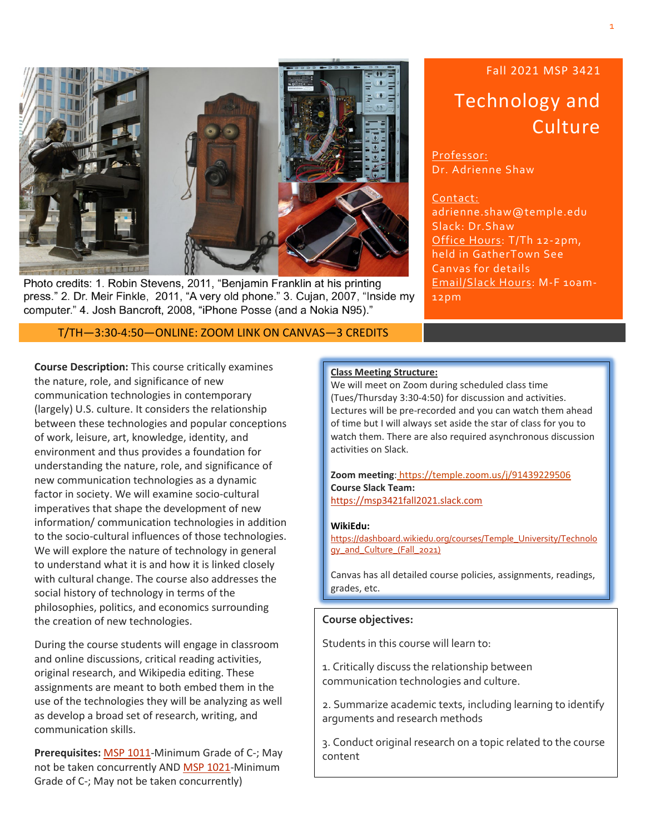

Photo credits: 1. Robin Stevens, 2011, "Benjamin Franklin at his printing press." 2. Dr. Meir Finkle, 2011, "A very old phone." 3. Cujan, 2007, "Inside my computer." 4. Josh Bancroft, 2008, "iPhone Posse (and a Nokia N95)."

T/TH—3:30-4:50—ONLINE: ZOOM LINK ON CANVAS—3 CREDITS

# Fall 2021 MSP 3421 Technology and **Culture**

Professor: Dr. Adrienne Shaw

Contact: adrienne.shaw@temple.edu Slack: Dr.Shaw Office Hours: T/Th 12-2pm, held in GatherTown See Canvas for details Email/Slack Hours: M-F 10am-12pm

**Course Description:** This course critically examines the nature, role, and significance of new communication technologies in contemporary (largely) U.S. culture. It considers the relationship between these technologies and popular conceptions of work, leisure, art, knowledge, identity, and environment and thus provides a foundation for understanding the nature, role, and significance of new communication technologies as a dynamic factor in society. We will examine socio-cultural imperatives that shape the development of new information/ communication technologies in addition to the socio-cultural influences of those technologies. We will explore the nature of technology in general to understand what it is and how it is linked closely with cultural change. The course also addresses the social history of technology in terms of the philosophies, politics, and economics surrounding the creation of new technologies.

During the course students will engage in classroom and online discussions, critical reading activities, original research, and Wikipedia editing. These assignments are meant to both embed them in the use of the technologies they will be analyzing as well as develop a broad set of research, writing, and communication skills.

**Prerequisites:** MSP [1011-](http://bulletin.temple.edu/search/?P=MSP%201011)Minimum Grade of C-; May not be taken concurrently AND MSP [1021-](http://bulletin.temple.edu/search/?P=MSP%201021)Minimum Grade of C-; May not be taken concurrently)

#### **Class Meeting Structure:**

We will meet on Zoom during scheduled class time (Tues/Thursday 3:30-4:50) for discussion and activities. Lectures will be pre-recorded and you can watch them ahead of time but I will always set aside the star of class for you to watch them. There are also required asynchronous discussion activities on Slack.

**Zoom meeting**: https://temple.zoom.us/j/91439229506 **Course Slack Team:** [https://msp3421fall2021.slack.com](https://msp3421fall2021.slack.com/)

#### **WikiEdu:**

[https://dashboard.wikiedu.org/courses/Temple\\_University/Technolo](https://dashboard.wikiedu.org/courses/Temple_University/Technology_and_Culture_(Fall_2021)) [gy\\_and\\_Culture\\_\(Fall\\_2021\)](https://dashboard.wikiedu.org/courses/Temple_University/Technology_and_Culture_(Fall_2021))

Canvas has all detailed course policies, assignments, readings, grades, etc.

#### **Course objectives:**

Students in this course will learn to:

1. Critically discuss the relationship between communication technologies and culture.

2. Summarize academic texts, including learning to identify arguments and research methods

3. Conduct original research on a topic related to the course content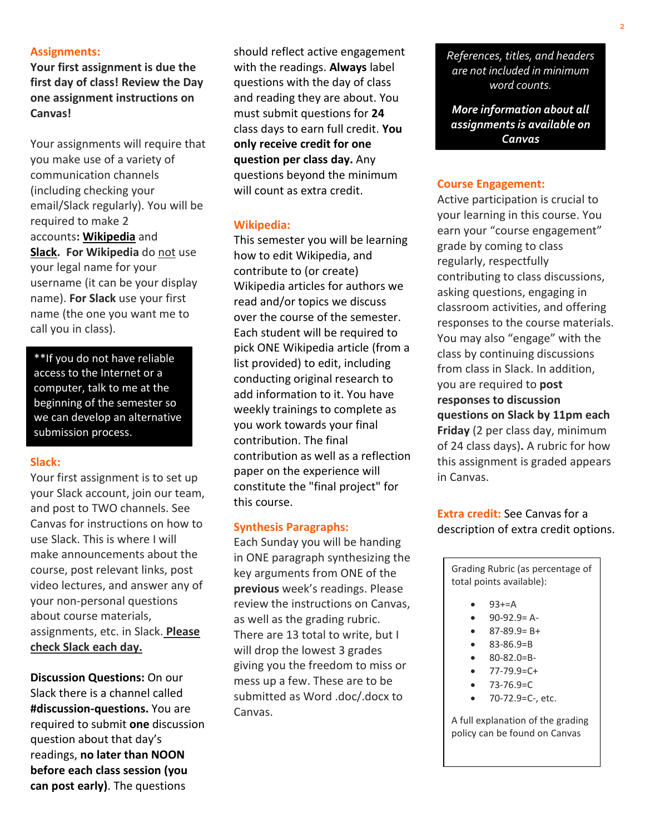#### **Assignments:**

**Your first assignment is due the first day of class! Review the Day one assignment instructions on Canvas!**

Your assignments will require that you make use of a variety of communication channels (including checking your email/Slack regularly). You will be required to make 2 accounts**: [Wikipedia](http://www.wordpress.com/)** and **[Slack.](http://www.twitter.com/) For Wikipedia** do not use your legal name for your username (it can be your display name). **For Slack** use your first name (the one you want me to call you in class).

\*\*If you do not have reliable access to the Internet or a computer, talk to me at the beginning of the semester so we can develop an alternative submission process.

#### **Slack:**

Your first assignment is to set up your Slack account, join our team, and post to TWO channels. See Canvas for instructions on how to use Slack. This is where I will make announcements about the course, post relevant links, post video lectures, and answer any of your non-personal questions about course materials, assignments, etc. in Slack. **Please check Slack each day.**

**Discussion Questions:** On our Slack there is a channel called **#discussion-questions.** You are required to submit **one** discussion question about that day's readings, **no later than NOON before each class session (you can post early)**. The questions

should reflect active engagement with the readings. **Always** label questions with the day of class and reading they are about. You must submit questions for **24** class days to earn full credit. **You only receive credit for one question per class day.** Any questions beyond the minimum will count as extra credit.

#### **Wikipedia:**

This semester you will be learning how to edit Wikipedia, and contribute to (or create) Wikipedia articles for authors we read and/or topics we discuss over the course of the semester. Each student will be required to pick ONE Wikipedia article (from a list provided) to edit, including conducting original research to add information to it. You have weekly trainings to complete as you work towards your final contribution. The final contribution as well as a reflection paper on the experience will constitute the "final project" for this course.

#### **Synthesis Paragraphs:**

Each Sunday you will be handing in ONE paragraph synthesizing the key arguments from ONE of the **previous** week's readings. Please review the instructions on Canvas, as well as the grading rubric. There are 13 total to write, but I will drop the lowest 3 grades giving you the freedom to miss or mess up a few. These are to be submitted as Word .doc/.docx to Canvas.

*References, titles, and headers are not included in minimum word counts.*

*More information about all assignments is available on Canvas*

#### **Course Engagement:**

Active participation is crucial to your learning in this course. You earn your "course engagement" grade by coming to class regularly, respectfully contributing to class discussions, asking questions, engaging in classroom activities, and offering responses to the course materials. You may also "engage" with the class by continuing discussions from class in Slack. In addition, you are required to **post responses to discussion questions on Slack by 11pm each Friday** (2 per class day, minimum of 24 class days)**.** A rubric for how this assignment is graded appears in Canvas.

**Extra credit:** See Canvas for a description of extra credit options.

Grading Rubric (as percentage of total points available):

- $93 + 5A$
- $-90-92.9= A-$
- $\bullet$  87-89.9= B+
- 83-86.9=B
- 80-82.0=B-
- 77-79.9=C+
- $73 76.9 = C$
- 70-72.9=C-, etc.

A full explanation of the grading policy can be found on Canvas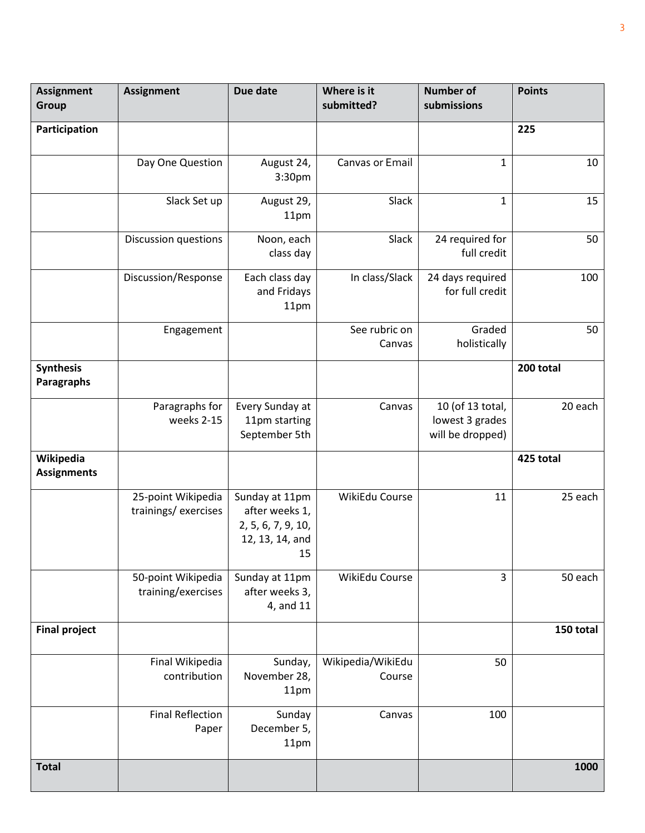| <b>Assignment</b><br><b>Group</b> | <b>Assignment</b>                         | Due date                                                                        | Where is it<br>submitted?   | <b>Number of</b><br>submissions                         | <b>Points</b> |
|-----------------------------------|-------------------------------------------|---------------------------------------------------------------------------------|-----------------------------|---------------------------------------------------------|---------------|
| Participation                     |                                           |                                                                                 |                             |                                                         | 225           |
|                                   | Day One Question                          | August 24,<br>3:30pm                                                            | Canvas or Email             | $\mathbf{1}$                                            | 10            |
|                                   | Slack Set up                              | August 29,<br>11pm                                                              | Slack                       | $\mathbf{1}$                                            | 15            |
|                                   | Discussion questions                      | Noon, each<br>class day                                                         | Slack                       | 24 required for<br>full credit                          | 50            |
|                                   | Discussion/Response                       | Each class day<br>and Fridays<br>11pm                                           | In class/Slack              | 24 days required<br>for full credit                     | 100           |
|                                   | Engagement                                |                                                                                 | See rubric on<br>Canvas     | Graded<br>holistically                                  | 50            |
| <b>Synthesis</b><br>Paragraphs    |                                           |                                                                                 |                             |                                                         | 200 total     |
|                                   | Paragraphs for<br>weeks 2-15              | Every Sunday at<br>11pm starting<br>September 5th                               | Canvas                      | 10 (of 13 total,<br>lowest 3 grades<br>will be dropped) | 20 each       |
| Wikipedia<br><b>Assignments</b>   |                                           |                                                                                 |                             |                                                         | 425 total     |
|                                   | 25-point Wikipedia<br>trainings/exercises | Sunday at 11pm<br>after weeks 1,<br>2, 5, 6, 7, 9, 10,<br>12, 13, 14, and<br>15 | WikiEdu Course              | 11                                                      | 25 each       |
|                                   | 50-point Wikipedia<br>training/exercises  | Sunday at 11pm<br>after weeks 3,<br>4, and 11                                   | WikiEdu Course              | 3                                                       | 50 each       |
| <b>Final project</b>              |                                           |                                                                                 |                             |                                                         | 150 total     |
|                                   | Final Wikipedia<br>contribution           | Sunday,<br>November 28,<br>11pm                                                 | Wikipedia/WikiEdu<br>Course | 50                                                      |               |
|                                   | <b>Final Reflection</b><br>Paper          | Sunday<br>December 5,<br>11pm                                                   | Canvas                      | 100                                                     |               |
| <b>Total</b>                      |                                           |                                                                                 |                             |                                                         | 1000          |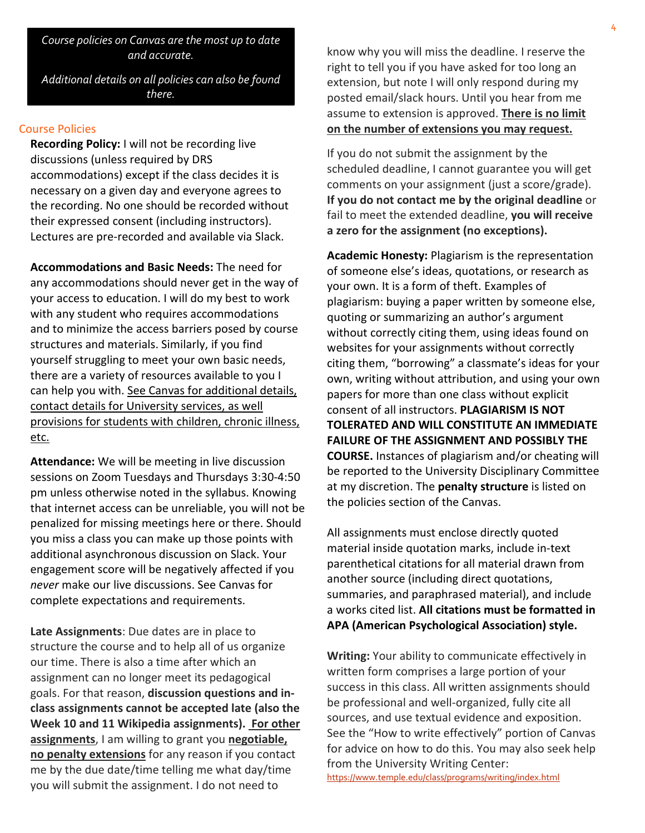*Course policies on Canvas are the most up to date and accurate.*

*Additional details on all policies can also be found there.*

#### Course Policies

**Recording Policy:** I will not be recording live discussions (unless required by DRS accommodations) except if the class decides it is necessary on a given day and everyone agrees to the recording. No one should be recorded without their expressed consent (including instructors). Lectures are pre-recorded and available via Slack.

**Accommodations and Basic Needs:** The need for any accommodations should never get in the way of your access to education. I will do my best to work with any student who requires accommodations and to minimize the access barriers posed by course structures and materials. Similarly, if you find yourself struggling to meet your own basic needs, there are a variety of resources available to you I can help you with. See Canvas for additional details, contact details for University services, as well provisions for students with children, chronic illness, etc.

**Attendance:** We will be meeting in live discussion sessions on Zoom Tuesdays and Thursdays 3:30-4:50 pm unless otherwise noted in the syllabus. Knowing that internet access can be unreliable, you will not be penalized for missing meetings here or there. Should you miss a class you can make up those points with additional asynchronous discussion on Slack. Your engagement score will be negatively affected if you *never* make our live discussions. See Canvas for complete expectations and requirements.

**Late Assignments**: Due dates are in place to structure the course and to help all of us organize our time. There is also a time after which an assignment can no longer meet its pedagogical goals. For that reason, **discussion questions and inclass assignments cannot be accepted late (also the Week 10 and 11 Wikipedia assignments). For other assignments**, I am willing to grant you **negotiable, no penalty extensions** for any reason if you contact me by the due date/time telling me what day/time you will submit the assignment. I do not need to

know why you will miss the deadline. I reserve the right to tell you if you have asked for too long an extension, but note I will only respond during my posted email/slack hours. Until you hear from me assume to extension is approved. **There is no limit on the number of extensions you may request.**

If you do not submit the assignment by the scheduled deadline, I cannot guarantee you will get comments on your assignment (just a score/grade). **If you do not contact me by the original deadline** or fail to meet the extended deadline, **you will receive a zero for the assignment (no exceptions).**

**Academic Honesty:** Plagiarism is the representation of someone else's ideas, quotations, or research as your own. It is a form of theft. Examples of plagiarism: buying a paper written by someone else, quoting or summarizing an author's argument without correctly citing them, using ideas found on websites for your assignments without correctly citing them, "borrowing" a classmate's ideas for your own, writing without attribution, and using your own papers for more than one class without explicit consent of all instructors. **PLAGIARISM IS NOT TOLERATED AND WILL CONSTITUTE AN IMMEDIATE FAILURE OF THE ASSIGNMENT AND POSSIBLY THE COURSE.** Instances of plagiarism and/or cheating will be reported to the University Disciplinary Committee at my discretion. The **penalty structure** is listed on the policies section of the Canvas.

All assignments must enclose directly quoted material inside quotation marks, include in-text parenthetical citations for all material drawn from another source (including direct quotations, summaries, and paraphrased material), and include a works cited list. **All citations must be formatted in APA (American Psychological Association) style.**

**Writing:** Your ability to communicate effectively in written form comprises a large portion of your success in this class. All written assignments should be professional and well-organized, fully cite all sources, and use textual evidence and exposition. See the "How to write effectively" portion of Canvas for advice on how to do this. You may also seek help from the University Writing Center: <https://www.temple.edu/class/programs/writing/index.html>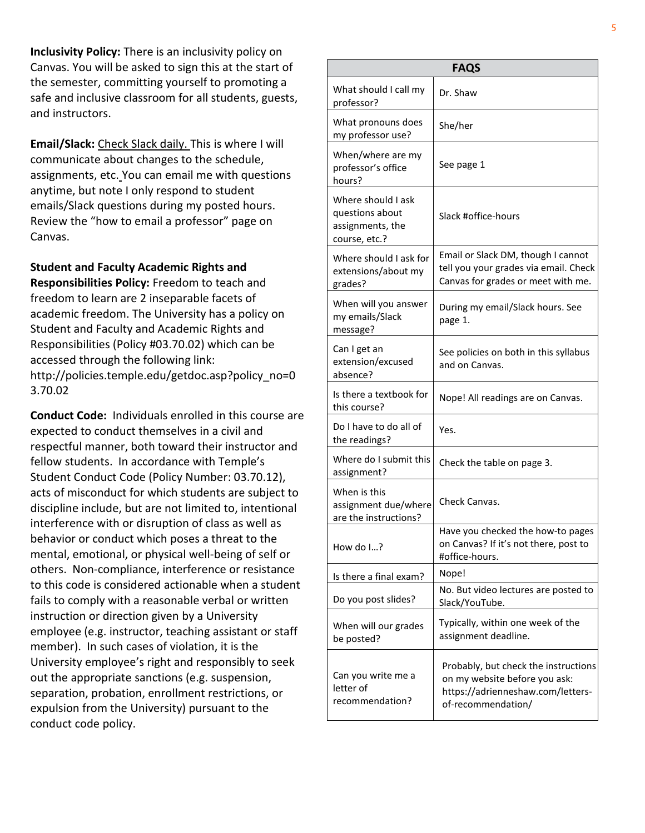**Inclusivity Policy:** There is an inclusivity policy on Canvas. You will be asked to sign this at the start of the semester, committing yourself to promoting a safe and inclusive classroom for all students, guests, and instructors.

**Email/Slack:** Check Slack daily. This is where I will communicate about changes to the schedule, assignments, etc. You can email me with questions anytime, but note I only respond to student emails/Slack questions during my posted hours. Review the "how to email a professor" page on Canvas.

**Student and Faculty Academic Rights and Responsibilities Policy:** Freedom to teach and freedom to learn are 2 inseparable facets of academic freedom. The University has a policy on Student and Faculty and Academic Rights and Responsibilities (Policy #03.70.02) which can be accessed through the following link: http://policies.temple.edu/getdoc.asp?policy\_no=0 3.70.02

**Conduct Code:** Individuals enrolled in this course are expected to conduct themselves in a civil and respectful manner, both toward their instructor and fellow students. In accordance with Temple's Student Conduct Code (Policy Number: 03.70.12), acts of misconduct for which students are subject to discipline include, but are not limited to, intentional interference with or disruption of class as well as behavior or conduct which poses a threat to the mental, emotional, or physical well-being of self or others. Non-compliance, interference or resistance to this code is considered actionable when a student fails to comply with a reasonable verbal or written instruction or direction given by a University employee (e.g. instructor, teaching assistant or staff member). In such cases of violation, it is the University employee's right and responsibly to seek out the appropriate sanctions (e.g. suspension, separation, probation, enrollment restrictions, or expulsion from the University) pursuant to the conduct code policy.

| <b>FAQS</b>                                                                |                                                                                                                                  |  |  |  |
|----------------------------------------------------------------------------|----------------------------------------------------------------------------------------------------------------------------------|--|--|--|
| What should I call my<br>professor?                                        | Dr. Shaw                                                                                                                         |  |  |  |
| What pronouns does<br>my professor use?                                    | She/her                                                                                                                          |  |  |  |
| When/where are my<br>professor's office<br>hours?                          | See page 1                                                                                                                       |  |  |  |
| Where should I ask<br>questions about<br>assignments, the<br>course, etc.? | Slack #office-hours                                                                                                              |  |  |  |
| Where should I ask for<br>extensions/about my<br>grades?                   | Email or Slack DM, though I cannot<br>tell you your grades via email. Check<br>Canvas for grades or meet with me.                |  |  |  |
| When will you answer<br>my emails/Slack<br>message?                        | During my email/Slack hours. See<br>page 1.                                                                                      |  |  |  |
| Can I get an<br>extension/excused<br>absence?                              | See policies on both in this syllabus<br>and on Canvas.                                                                          |  |  |  |
| Is there a textbook for<br>this course?                                    | Nope! All readings are on Canvas.                                                                                                |  |  |  |
| Do I have to do all of<br>the readings?                                    | Yes.                                                                                                                             |  |  |  |
| Where do I submit this<br>assignment?                                      | Check the table on page 3.                                                                                                       |  |  |  |
| When is this<br>assignment due/where<br>are the instructions?              | Check Canvas.                                                                                                                    |  |  |  |
| How do $I?$                                                                | Have you checked the how-to pages<br>on Canvas? If it's not there, post to<br>#office-hours.                                     |  |  |  |
| Is there a final exam?                                                     | Nope!                                                                                                                            |  |  |  |
| Do you post slides?                                                        | No. But video lectures are posted to<br>Slack/YouTube.                                                                           |  |  |  |
| When will our grades<br>be posted?                                         | Typically, within one week of the<br>assignment deadline.                                                                        |  |  |  |
| Can you write me a<br>letter of<br>recommendation?                         | Probably, but check the instructions<br>on my website before you ask:<br>https://adrienneshaw.com/letters-<br>of-recommendation/ |  |  |  |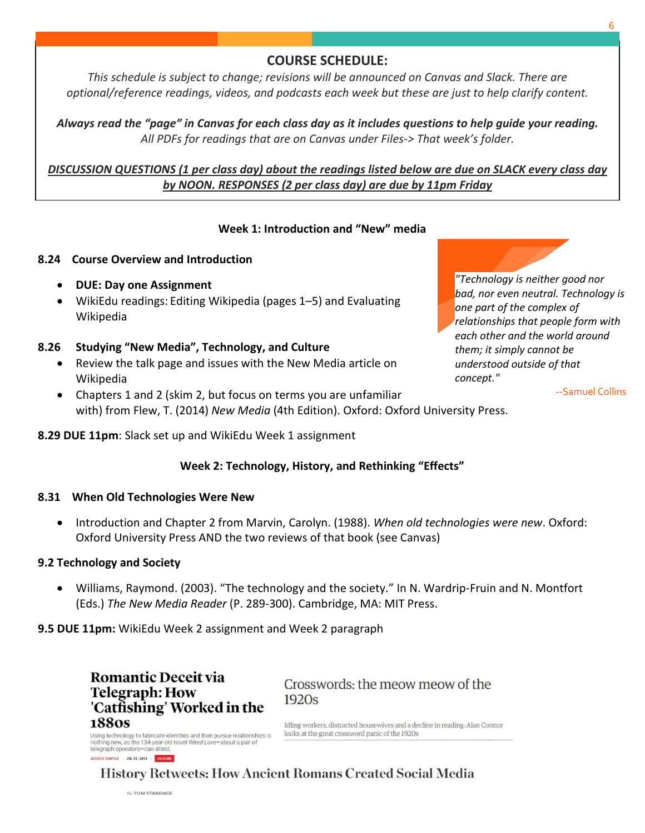## **COURSE SCHEDULE:**

*This schedule is subject to change; revisions will be announced on Canvas and Slack. There are optional/reference readings, videos, and podcasts each week but these are just to help clarify content.*

*Always read the "page" in Canvas for each class day as it includes questions to help guide your reading. All PDFs for readings that are on Canvas under Files-> That week's folder.*

## *DISCUSSION QUESTIONS (1 per class day) about the readings listed below are due on SLACK every class day by NOON. RESPONSES (2 per class day) are due by 11pm Friday*

#### **Week 1: Introduction and "New" media**

#### **8.24 Course Overview and Introduction**

- **DUE: Day one Assignment**
- WikiEdu readings: Editing Wikipedia (pages 1–5) and Evaluating Wikipedia

#### **8.26 Studying "New Media", Technology, and Culture**

- Review the talk page and issues with the New Media article on Wikipedia
- Chapters 1 and 2 (skim 2, but focus on terms you are unfamiliar with) from Flew, T. (2014) *New Media* (4th Edition). Oxford: Oxford University Press.

**8.29 DUE 11pm**: Slack set up and WikiEdu Week 1 assignment

#### **Week 2: Technology, History, and Rethinking "Effects"**

#### **8.31 When Old Technologies Were New**

• Introduction and Chapter 2 from Marvin, Carolyn. (1988). *When old technologies were new*. Oxford: Oxford University Press AND the two reviews of that book (see Canvas)

#### **9.2 Technology and Society**

• Williams, Raymond. (2003). "The technology and the society." In N. Wardrip-Fruin and N. Montfort (Eds.) *The New Media Reader* (P. 289-300). Cambridge, MA: MIT Press.

**9.5 DUE 11pm:** WikiEdu Week 2 assignment and Week 2 paragraph

**Romantic Deceit via Telegraph: How** 'Catfishing' Worked in the **1880s** Using technology to fabricate identities and then pursue relationships is<br>nothing new, as the 134-year-old novel Wired Love-about a pair of

Crosswords: the meow meow of the  $1920s$ 

Idling workers, distracted housewives and a decline in reading: Alan Connor looks at the great crossword panic of the 1920s

**History Retweets: How Ancient Romans Created Social Media** 

By TOM STANDAGE

telegraph operators-can attest. **JESSICA GENTILE | JUL 31, 2013 | CULTURE** 

*"Technology is neither good nor bad, nor even neutral. Technology is one part of the complex of relationships that people form with each other and the world around them; it simply cannot be understood outside of that concept."*

--Samuel Collins



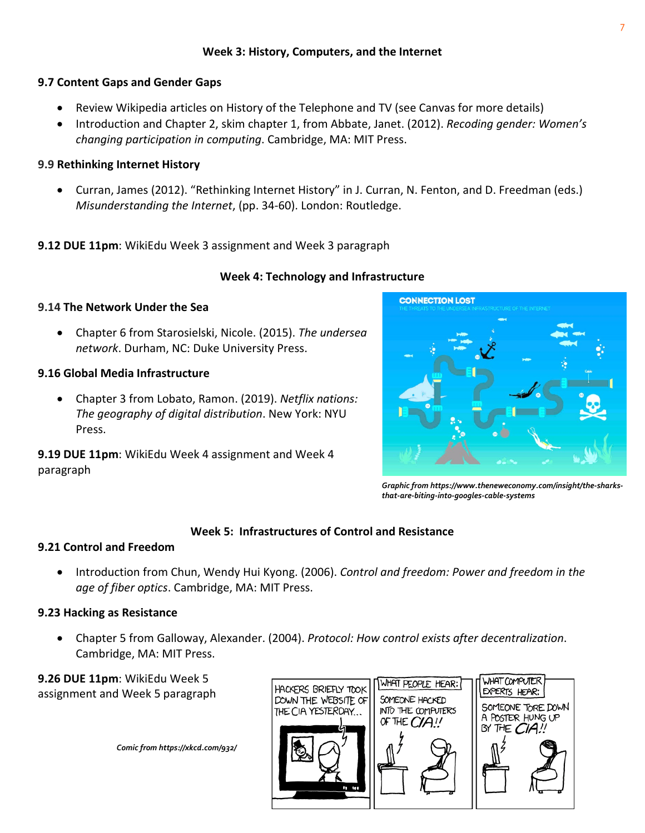## **9.7 Content Gaps and Gender Gaps**

- Review Wikipedia articles on History of the Telephone and TV (see Canvas for more details)
- Introduction and Chapter 2, skim chapter 1, from Abbate, Janet. (2012). *Recoding gender: Women's changing participation in computing*. Cambridge, MA: MIT Press.

## **9.9 Rethinking Internet History**

• Curran, James (2012). "Rethinking Internet History" in J. Curran, N. Fenton, and D. Freedman (eds.) *Misunderstanding the Internet*, (pp. 34-60). London: Routledge.

# **9.12 DUE 11pm**: WikiEdu Week 3 assignment and Week 3 paragraph

## **Week 4: Technology and Infrastructure**

## **9.14 The Network Under the Sea**

• Chapter 6 from Starosielski, Nicole. (2015). *The undersea network*. Durham, NC: Duke University Press.

## **9.16 Global Media Infrastructure**

• Chapter 3 from Lobato, Ramon. (2019). *Netflix nations: The geography of digital distribution*. New York: NYU Press.

**9.19 DUE 11pm**: WikiEdu Week 4 assignment and Week 4 paragraph



*Graphic from https://www.theneweconomy.com/insight/the-sharksthat-are-biting-into-googles-cable-systems*

## **Week 5: Infrastructures of Control and Resistance**

#### **9.21 Control and Freedom**

• Introduction from Chun, Wendy Hui Kyong. (2006). *Control and freedom: Power and freedom in the age of fiber optics*. Cambridge, MA: MIT Press.

## **9.23 Hacking as Resistance**

• Chapter 5 from Galloway, Alexander. (2004). *Protocol: How control exists after decentralization*. Cambridge, MA: MIT Press.

**9.26 DUE 11pm**: WikiEdu Week 5 assignment and Week 5 paragraph

*Comic from https://xkcd.com/932/*

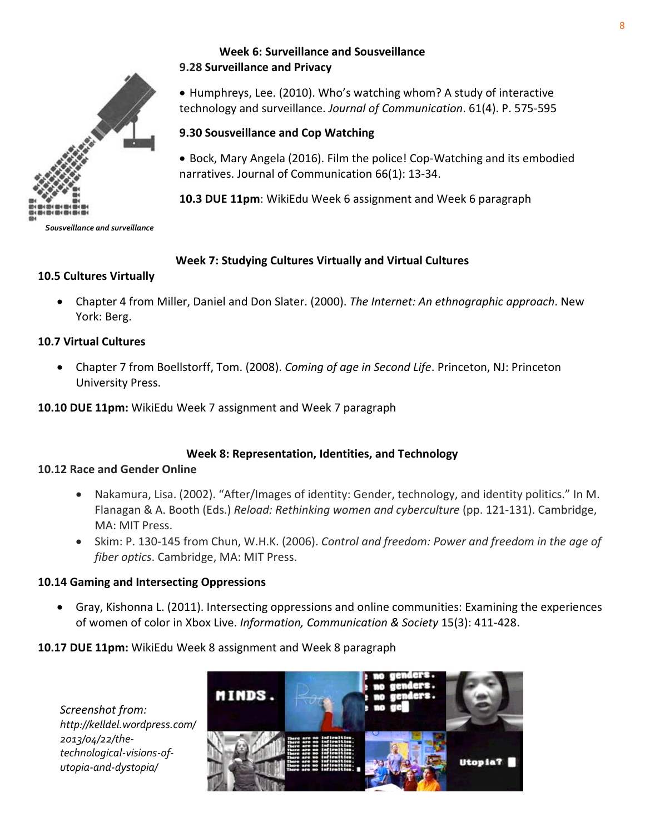

*Sousveillance and surveillance*

## **Week 6: Surveillance and Sousveillance 9.28 Surveillance and Privacy**

• Humphreys, Lee. (2010). Who's watching whom? A study of interactive technology and surveillance. *Journal of Communication*. 61(4). P. 575-595

## **9.30 Sousveillance and Cop Watching**

• Bock, Mary Angela (2016). Film the police! Cop-Watching and its embodied narratives. Journal of Communication 66(1): 13-34.

**10.3 DUE 11pm**: WikiEdu Week 6 assignment and Week 6 paragraph

## **Week 7: Studying Cultures Virtually and Virtual Cultures**

#### **10.5 Cultures Virtually**

• Chapter 4 from Miller, Daniel and Don Slater. (2000). *The Internet: An ethnographic approach*. New York: Berg.

## **10.7 Virtual Cultures**

• Chapter 7 from Boellstorff, Tom. (2008). *Coming of age in Second Life*. Princeton, NJ: Princeton University Press.

**10.10 DUE 11pm:** WikiEdu Week 7 assignment and Week 7 paragraph

## **Week 8: Representation, Identities, and Technology**

#### **10.12 Race and Gender Online**

- Nakamura, Lisa. (2002). "After/Images of identity: Gender, technology, and identity politics." In M. Flanagan & A. Booth (Eds.) *Reload: Rethinking women and cyberculture* (pp. 121-131). Cambridge, MA: MIT Press.
- Skim: P. 130-145 from Chun, W.H.K. (2006). *Control and freedom: Power and freedom in the age of fiber optics*. Cambridge, MA: MIT Press.

## **10.14 Gaming and Intersecting Oppressions**

• Gray, Kishonna L. (2011). Intersecting oppressions and online communities: Examining the experiences of women of color in Xbox Live. *Information, Communication & Society* 15(3): 411-428.

## **10.17 DUE 11pm:** WikiEdu Week 8 assignment and Week 8 paragraph

*Screenshot from: http://kelldel.wordpress.com/ 2013/04/22/thetechnological-visions-ofutopia-and-dystopia/*

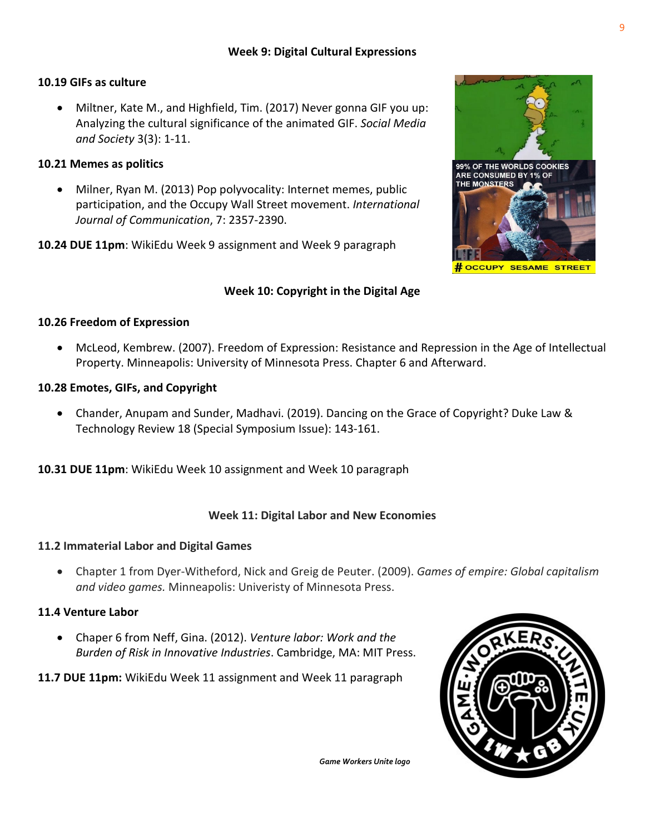## **Week 9: Digital Cultural Expressions**

#### **10.19 GIFs as culture**

• Miltner, Kate M., and Highfield, Tim. (2017) Never gonna GIF you up: Analyzing the cultural significance of the animated GIF. *Social Media and Society* 3(3): 1-11.

#### **10.21 Memes as politics**

- Milner, Ryan M. (2013) Pop polyvocality: Internet memes, public participation, and the Occupy Wall Street movement. *International Journal of Communication*, 7: 2357-2390.
- **10.24 DUE 11pm**: WikiEdu Week 9 assignment and Week 9 paragraph

## **Week 10: Copyright in the Digital Age**

#### **10.26 Freedom of Expression**

• McLeod, Kembrew. (2007). Freedom of Expression: Resistance and Repression in the Age of Intellectual Property. Minneapolis: University of Minnesota Press. Chapter 6 and Afterward.

#### **10.28 Emotes, GIFs, and Copyright**

- Chander, Anupam and Sunder, Madhavi. (2019). Dancing on the Grace of Copyright? Duke Law & Technology Review 18 (Special Symposium Issue): 143-161.
- **10.31 DUE 11pm**: WikiEdu Week 10 assignment and Week 10 paragraph

#### **Week 11: Digital Labor and New Economies**

#### **11.2 Immaterial Labor and Digital Games**

• Chapter 1 from Dyer-Witheford, Nick and Greig de Peuter. (2009). *Games of empire: Global capitalism and video games.* Minneapolis: Univeristy of Minnesota Press.

#### **11.4 Venture Labor**

- Chaper 6 from Neff, Gina. (2012). *Venture labor: Work and the Burden of Risk in Innovative Industries*. Cambridge, MA: MIT Press.
- **11.7 DUE 11pm:** WikiEdu Week 11 assignment and Week 11 paragraph



*Game Workers Unite logo*

99% OF THE WORLDS COOKIES ARE CONSUMED BY 1% OF THE MONSTERS # OCCUPY SESAME STREET